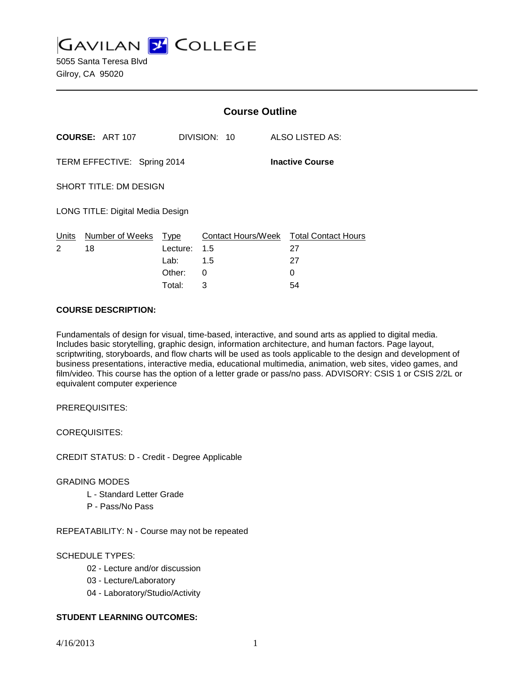**GAVILAN J COLLEGE** 

5055 Santa Teresa Blvd Gilroy, CA 95020

|                                                       |                        | <b>Course Outline</b> |              |                                              |
|-------------------------------------------------------|------------------------|-----------------------|--------------|----------------------------------------------|
|                                                       | <b>COURSE: ART 107</b> |                       | DIVISION: 10 | <b>ALSO LISTED AS:</b>                       |
| TERM EFFECTIVE: Spring 2014<br><b>Inactive Course</b> |                        |                       |              |                                              |
| SHORT TITLE: DM DESIGN                                |                        |                       |              |                                              |
| LONG TITLE: Digital Media Design                      |                        |                       |              |                                              |
| <u>Units</u><br>2                                     | Number of Weeks<br>18  | Type<br>Lecture: 1.5  |              | Contact Hours/Week Total Contact Hours<br>27 |
|                                                       |                        | Lab: La               | 1.5          | 27                                           |
|                                                       |                        | Other:                | 0            | 0                                            |
|                                                       |                        | Total:                | 3            | 54                                           |

#### **COURSE DESCRIPTION:**

Fundamentals of design for visual, time-based, interactive, and sound arts as applied to digital media. Includes basic storytelling, graphic design, information architecture, and human factors. Page layout, scriptwriting, storyboards, and flow charts will be used as tools applicable to the design and development of business presentations, interactive media, educational multimedia, animation, web sites, video games, and film/video. This course has the option of a letter grade or pass/no pass. ADVISORY: CSIS 1 or CSIS 2/2L or equivalent computer experience

PREREQUISITES:

COREQUISITES:

CREDIT STATUS: D - Credit - Degree Applicable

#### GRADING MODES

- L Standard Letter Grade
- P Pass/No Pass

REPEATABILITY: N - Course may not be repeated

## SCHEDULE TYPES:

- 02 Lecture and/or discussion
- 03 Lecture/Laboratory
- 04 Laboratory/Studio/Activity

## **STUDENT LEARNING OUTCOMES:**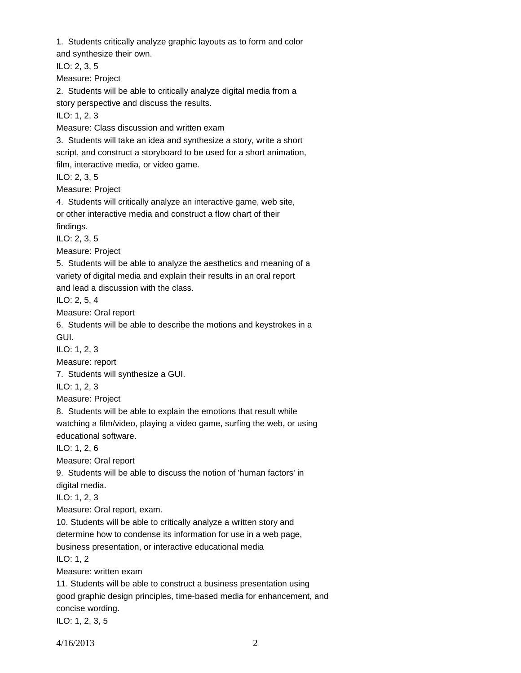1. Students critically analyze graphic layouts as to form and color and synthesize their own. ILO: 2, 3, 5 Measure: Project 2. Students will be able to critically analyze digital media from a story perspective and discuss the results. ILO: 1, 2, 3 Measure: Class discussion and written exam 3. Students will take an idea and synthesize a story, write a short script, and construct a storyboard to be used for a short animation, film, interactive media, or video game. ILO: 2, 3, 5 Measure: Project 4. Students will critically analyze an interactive game, web site, or other interactive media and construct a flow chart of their findings. ILO: 2, 3, 5 Measure: Project 5. Students will be able to analyze the aesthetics and meaning of a variety of digital media and explain their results in an oral report and lead a discussion with the class. ILO: 2, 5, 4 Measure: Oral report 6. Students will be able to describe the motions and keystrokes in a GUI. ILO: 1, 2, 3 Measure: report 7. Students will synthesize a GUI. ILO: 1, 2, 3 Measure: Project 8. Students will be able to explain the emotions that result while watching a film/video, playing a video game, surfing the web, or using educational software. ILO: 1, 2, 6 Measure: Oral report 9. Students will be able to discuss the notion of 'human factors' in digital media. ILO: 1, 2, 3 Measure: Oral report, exam. 10. Students will be able to critically analyze a written story and determine how to condense its information for use in a web page, business presentation, or interactive educational media ILO: 1, 2 Measure: written exam 11. Students will be able to construct a business presentation using good graphic design principles, time-based media for enhancement, and concise wording.

ILO: 1, 2, 3, 5

4/16/2013 2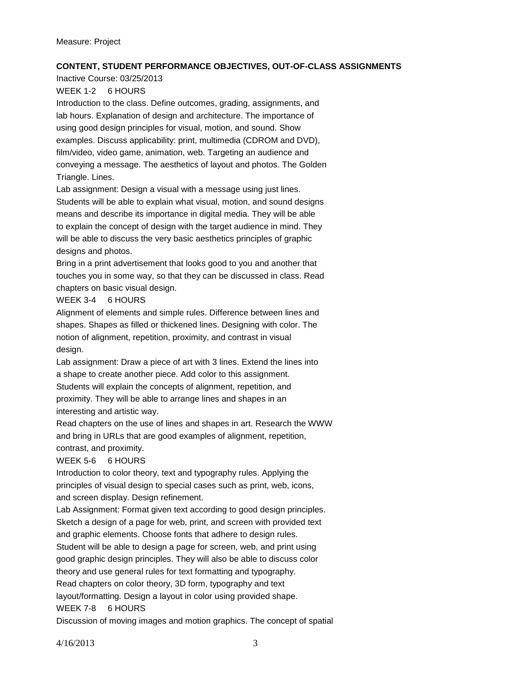# **CONTENT, STUDENT PERFORMANCE OBJECTIVES, OUT-OF-CLASS ASSIGNMENTS**

Inactive Course: 03/25/2013

# WEEK 1-2 6 HOURS

Introduction to the class. Define outcomes, grading, assignments, and lab hours. Explanation of design and architecture. The importance of using good design principles for visual, motion, and sound. Show examples. Discuss applicability: print, multimedia (CDROM and DVD), film/video, video game, animation, web. Targeting an audience and conveying a message. The aesthetics of layout and photos. The Golden Triangle. Lines.

Lab assignment: Design a visual with a message using just lines.

Students will be able to explain what visual, motion, and sound designs means and describe its importance in digital media. They will be able to explain the concept of design with the target audience in mind. They will be able to discuss the very basic aesthetics principles of graphic designs and photos.

Bring in a print advertisement that looks good to you and another that touches you in some way, so that they can be discussed in class. Read chapters on basic visual design.

# WEEK 3-4 6 HOURS

Alignment of elements and simple rules. Difference between lines and shapes. Shapes as filled or thickened lines. Designing with color. The notion of alignment, repetition, proximity, and contrast in visual design.

Lab assignment: Draw a piece of art with 3 lines. Extend the lines into a shape to create another piece. Add color to this assignment.

Students will explain the concepts of alignment, repetition, and proximity. They will be able to arrange lines and shapes in an interesting and artistic way.

Read chapters on the use of lines and shapes in art. Research the WWW and bring in URLs that are good examples of alignment, repetition, contrast, and proximity.

# WEEK 5-6 6 HOURS

Introduction to color theory, text and typography rules. Applying the principles of visual design to special cases such as print, web, icons, and screen display. Design refinement.

Lab Assignment: Format given text according to good design principles. Sketch a design of a page for web, print, and screen with provided text and graphic elements. Choose fonts that adhere to design rules.

Student will be able to design a page for screen, web, and print using good graphic design principles. They will also be able to discuss color theory and use general rules for text formatting and typography.

Read chapters on color theory, 3D form, typography and text

layout/formatting. Design a layout in color using provided shape.

## WEEK 7-8 6 HOURS

Discussion of moving images and motion graphics. The concept of spatial

4/16/2013 3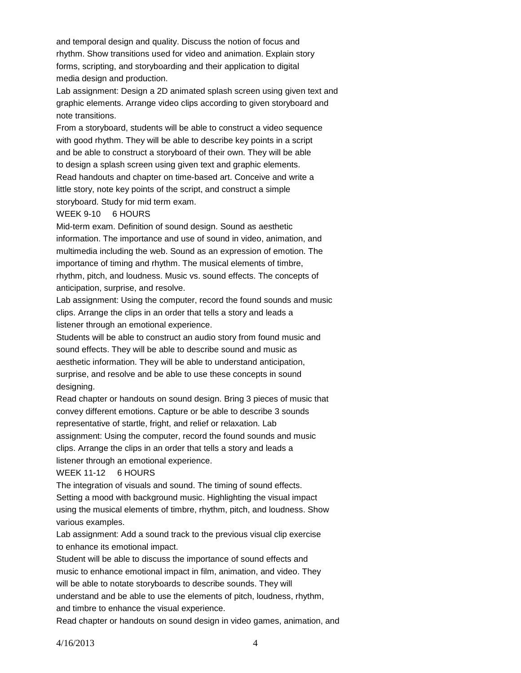and temporal design and quality. Discuss the notion of focus and rhythm. Show transitions used for video and animation. Explain story forms, scripting, and storyboarding and their application to digital media design and production.

Lab assignment: Design a 2D animated splash screen using given text and graphic elements. Arrange video clips according to given storyboard and note transitions.

From a storyboard, students will be able to construct a video sequence with good rhythm. They will be able to describe key points in a script and be able to construct a storyboard of their own. They will be able to design a splash screen using given text and graphic elements. Read handouts and chapter on time-based art. Conceive and write a little story, note key points of the script, and construct a simple storyboard. Study for mid term exam.

#### WEEK 9-10 6 HOURS

Mid-term exam. Definition of sound design. Sound as aesthetic information. The importance and use of sound in video, animation, and multimedia including the web. Sound as an expression of emotion. The importance of timing and rhythm. The musical elements of timbre, rhythm, pitch, and loudness. Music vs. sound effects. The concepts of anticipation, surprise, and resolve.

Lab assignment: Using the computer, record the found sounds and music clips. Arrange the clips in an order that tells a story and leads a listener through an emotional experience.

Students will be able to construct an audio story from found music and sound effects. They will be able to describe sound and music as aesthetic information. They will be able to understand anticipation, surprise, and resolve and be able to use these concepts in sound designing.

Read chapter or handouts on sound design. Bring 3 pieces of music that convey different emotions. Capture or be able to describe 3 sounds representative of startle, fright, and relief or relaxation. Lab assignment: Using the computer, record the found sounds and music clips. Arrange the clips in an order that tells a story and leads a listener through an emotional experience.

#### WEEK 11-12 6 HOURS

The integration of visuals and sound. The timing of sound effects. Setting a mood with background music. Highlighting the visual impact using the musical elements of timbre, rhythm, pitch, and loudness. Show various examples.

Lab assignment: Add a sound track to the previous visual clip exercise to enhance its emotional impact.

Student will be able to discuss the importance of sound effects and music to enhance emotional impact in film, animation, and video. They will be able to notate storyboards to describe sounds. They will understand and be able to use the elements of pitch, loudness, rhythm, and timbre to enhance the visual experience.

Read chapter or handouts on sound design in video games, animation, and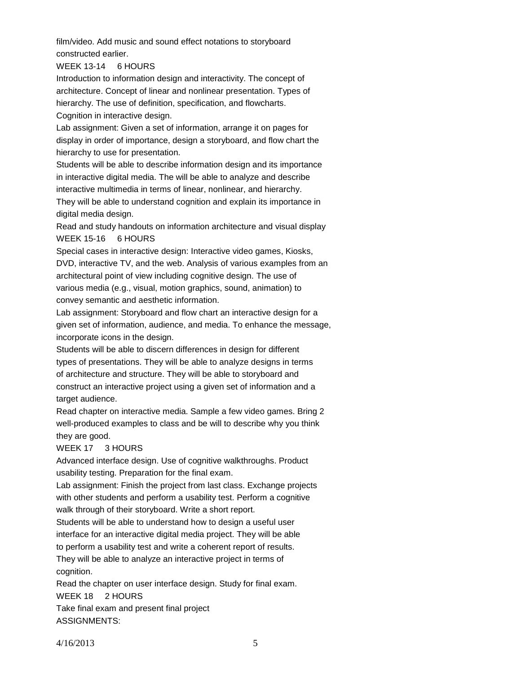film/video. Add music and sound effect notations to storyboard constructed earlier.

WEEK 13-14 6 HOURS

Introduction to information design and interactivity. The concept of architecture. Concept of linear and nonlinear presentation. Types of hierarchy. The use of definition, specification, and flowcharts. Cognition in interactive design.

Lab assignment: Given a set of information, arrange it on pages for display in order of importance, design a storyboard, and flow chart the hierarchy to use for presentation.

Students will be able to describe information design and its importance in interactive digital media. The will be able to analyze and describe interactive multimedia in terms of linear, nonlinear, and hierarchy.

They will be able to understand cognition and explain its importance in digital media design.

Read and study handouts on information architecture and visual display WEEK 15-16 6 HOURS

Special cases in interactive design: Interactive video games, Kiosks, DVD, interactive TV, and the web. Analysis of various examples from an architectural point of view including cognitive design. The use of various media (e.g., visual, motion graphics, sound, animation) to convey semantic and aesthetic information.

Lab assignment: Storyboard and flow chart an interactive design for a given set of information, audience, and media. To enhance the message, incorporate icons in the design.

Students will be able to discern differences in design for different types of presentations. They will be able to analyze designs in terms of architecture and structure. They will be able to storyboard and construct an interactive project using a given set of information and a target audience.

Read chapter on interactive media. Sample a few video games. Bring 2 well-produced examples to class and be will to describe why you think they are good.

## WEEK 17 3 HOURS

Advanced interface design. Use of cognitive walkthroughs. Product usability testing. Preparation for the final exam.

Lab assignment: Finish the project from last class. Exchange projects with other students and perform a usability test. Perform a cognitive walk through of their storyboard. Write a short report.

Students will be able to understand how to design a useful user interface for an interactive digital media project. They will be able

to perform a usability test and write a coherent report of results. They will be able to analyze an interactive project in terms of cognition.

Read the chapter on user interface design. Study for final exam. WEEK 18 2 HOURS Take final exam and present final project

ASSIGNMENTS: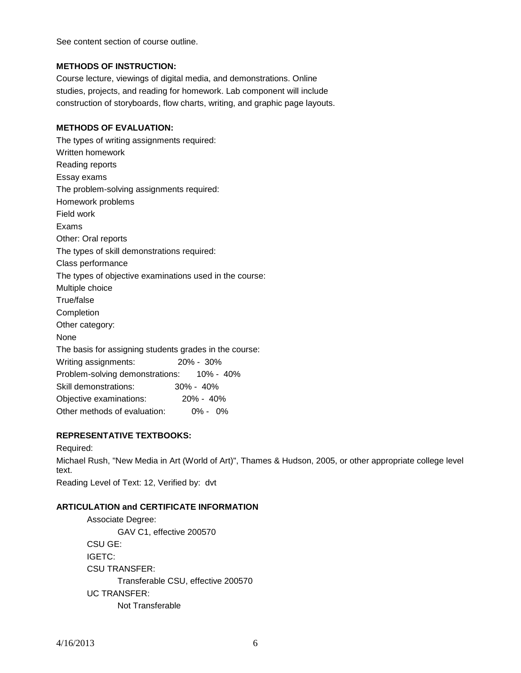See content section of course outline.

# **METHODS OF INSTRUCTION:**

Course lecture, viewings of digital media, and demonstrations. Online studies, projects, and reading for homework. Lab component will include construction of storyboards, flow charts, writing, and graphic page layouts.

# **METHODS OF EVALUATION:**

The types of writing assignments required: Written homework Reading reports Essay exams The problem-solving assignments required: Homework problems Field work Exams Other: Oral reports The types of skill demonstrations required: Class performance The types of objective examinations used in the course: Multiple choice True/false **Completion** Other category: None The basis for assigning students grades in the course: Writing assignments: 20% - 30% Problem-solving demonstrations: 10% - 40% Skill demonstrations: 30% - 40% Objective examinations: 20% - 40% Other methods of evaluation: 0% - 0%

# **REPRESENTATIVE TEXTBOOKS:**

Required: Michael Rush, "New Media in Art (World of Art)", Thames & Hudson, 2005, or other appropriate college level text. Reading Level of Text: 12, Verified by: dvt

# **ARTICULATION and CERTIFICATE INFORMATION**

Associate Degree: GAV C1, effective 200570 CSU GE: IGETC: CSU TRANSFER: Transferable CSU, effective 200570 UC TRANSFER: Not Transferable